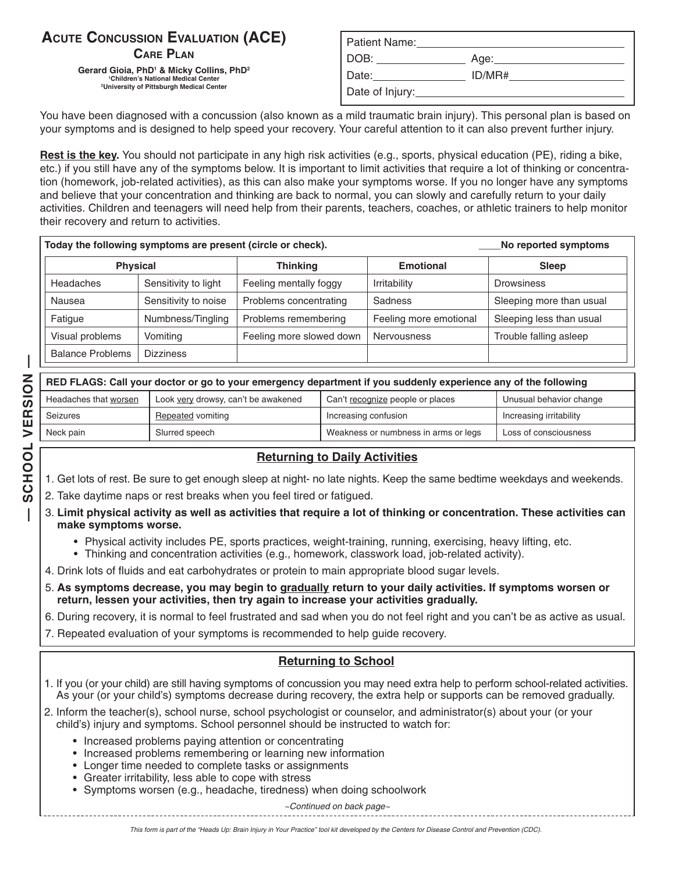# **ACUTE CONCUSSION EVALUATION (ACE) CARE PLAN**

**Gerard Gioia, PhD1 & Micky Collins, PhD2**  <sup>2</sup>University of Pittsburgh Medical Center **Date of Injury:** 

| <b>NCUSSION EVALUATION (ACE)</b>                                                                                                                                           | Patient Name:                   |        |
|----------------------------------------------------------------------------------------------------------------------------------------------------------------------------|---------------------------------|--------|
| <b>CARE PLAN</b><br>Gioia, PhD <sup>1</sup> & Micky Collins, PhD <sup>2</sup><br><sup>1</sup> Children's National Medical Center<br>niversity of Pittsburgh Medical Center | DOB:                            | Aae:   |
|                                                                                                                                                                            | Date:                           | ID/MR# |
|                                                                                                                                                                            | Date of Injury: Date of Injury: |        |

You have been diagnosed with a concussion (also known as a mild traumatic brain injury). This personal plan is based on your symptoms and is designed to help speed your recovery. Your careful attention to it can also prevent further injury.

**Rest is the key.** You should not participate in any high risk activities (e.g., sports, physical education (PE), riding a bike, etc.) if you still have any of the symptoms below. It is important to limit activities that require a lot of thinking or concentration (homework, job-related activities), as this can also make your symptoms worse. If you no longer have any symptoms and believe that your concentration and thinking are back to normal, you can slowly and carefully return to your daily activities. Children and teenagers will need help from their parents, teachers, coaches, or athletic trainers to help monitor their recovery and return to activities.

| Today the following symptoms are present (circle or check). |                      |                          |                        | No reported symptoms     |  |
|-------------------------------------------------------------|----------------------|--------------------------|------------------------|--------------------------|--|
| <b>Physical</b>                                             |                      | <b>Thinking</b>          | <b>Emotional</b>       | <b>Sleep</b>             |  |
| Headaches                                                   | Sensitivity to light | Feeling mentally foggy   | Irritability           | <b>Drowsiness</b>        |  |
| Nausea                                                      | Sensitivity to noise | Problems concentrating   | Sadness                | Sleeping more than usual |  |
| Fatigue                                                     | Numbness/Tingling    | Problems remembering     | Feeling more emotional | Sleeping less than usual |  |
| Visual problems                                             | Vomiting             | Feeling more slowed down | <b>Nervousness</b>     | Trouble falling asleep   |  |
| <b>Balance Problems</b>                                     | <b>Dizziness</b>     |                          |                        |                          |  |

| RED FLAGS: Call your doctor or go to your emergency department if you suddenly experience any of the following |                                     |                                      |                         |  |
|----------------------------------------------------------------------------------------------------------------|-------------------------------------|--------------------------------------|-------------------------|--|
| Headaches that worsen                                                                                          | Look very drowsy, can't be awakened | Can't recognize people or places     | Unusual behavior change |  |
| Seizures                                                                                                       | Repeated vomiting                   | Increasing confusion                 | Increasing irritability |  |
| Neck pain                                                                                                      | Slurred speech                      | Weakness or numbness in arms or legs | Loss of consciousness   |  |

### **Returning to Daily Activities**

- 1. Get lots of rest. Be sure to get enough sleep at night- no late nights. Keep the same bedtime weekdays and weekends.
- 2. Take daytime naps or rest breaks when you feel tired or fatigued.
- 3. **Limit physical activity as well as activities that require a lot of thinking or concentration. These activities can make symptoms worse.** 
	- Physical activity includes PE, sports practices, weight-training, running, exercising, heavy lifting, etc.
	- Thinking and concentration activities (e.g., homework, classwork load, job-related activity).
- 4. Drink lots of fluids and eat carbohydrates or protein to main appropriate blood sugar levels.
- 5. **As symptoms decrease, you may begin to gradually return to your daily activities. If symptoms worsen or return, lessen your activities, then try again to increase your activities gradually.**
- 6. During recovery, it is normal to feel frustrated and sad when you do not feel right and you can't be as active as usual.
- 7. Repeated evaluation of your symptoms is recommended to help guide recovery.

## **Returning to School**

- 1. If you (or your child) are still having symptoms of concussion you may need extra help to perform school-related activities. As your (or your child's) symptoms decrease during recovery, the extra help or supports can be removed gradually.
- 2. Inform the teacher(s), school nurse, school psychologist or counselor, and administrator(s) about your (or your child's) injury and symptoms. School personnel should be instructed to watch for:
	- Increased problems paying attention or concentrating
	- Increased problems remembering or learning new information
	- Longer time needed to complete tasks or assignments
	- Greater irritability, less able to cope with stress
	- Symptoms worsen (e.g., headache, tiredness) when doing schoolwork

*~Continued on back page~*